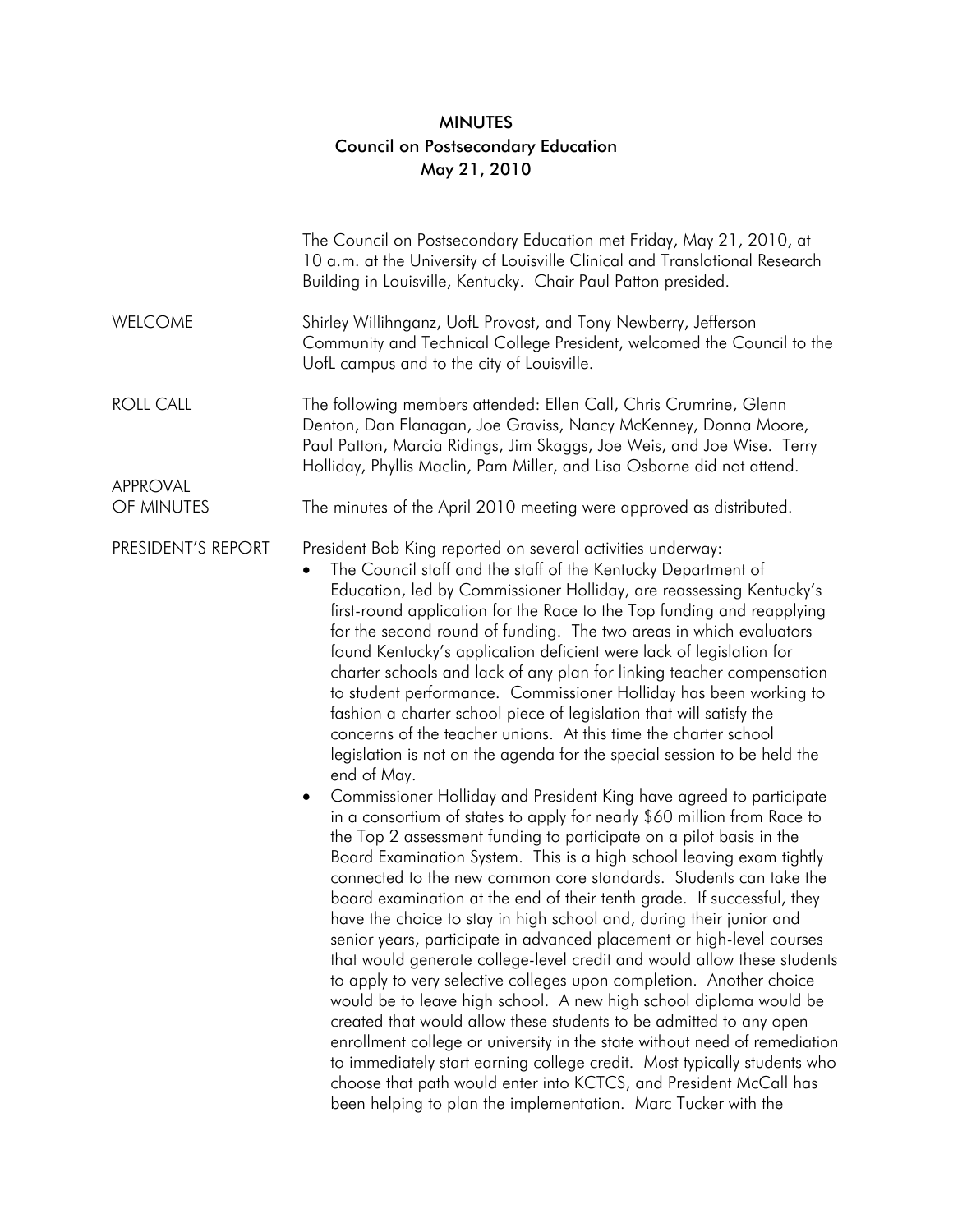## MINUTES Council on Postsecondary Education May 21, 2010

|                                            | The Council on Postsecondary Education met Friday, May 21, 2010, at<br>10 a.m. at the University of Louisville Clinical and Translational Research<br>Building in Louisville, Kentucky. Chair Paul Patton presided.                                                                                                                                                                                                                                                                                                                                                                                                                                                                                                                                                                                                                                                                                                                                                                                                                                                                                                                                                                                                                                                                                                                                                                                                                                                                                                                                                                                                                                                                                                                                                                                                                                                                                                                                                                                                                |
|--------------------------------------------|------------------------------------------------------------------------------------------------------------------------------------------------------------------------------------------------------------------------------------------------------------------------------------------------------------------------------------------------------------------------------------------------------------------------------------------------------------------------------------------------------------------------------------------------------------------------------------------------------------------------------------------------------------------------------------------------------------------------------------------------------------------------------------------------------------------------------------------------------------------------------------------------------------------------------------------------------------------------------------------------------------------------------------------------------------------------------------------------------------------------------------------------------------------------------------------------------------------------------------------------------------------------------------------------------------------------------------------------------------------------------------------------------------------------------------------------------------------------------------------------------------------------------------------------------------------------------------------------------------------------------------------------------------------------------------------------------------------------------------------------------------------------------------------------------------------------------------------------------------------------------------------------------------------------------------------------------------------------------------------------------------------------------------|
| <b>WELCOME</b>                             | Shirley Willihnganz, UofL Provost, and Tony Newberry, Jefferson<br>Community and Technical College President, welcomed the Council to the<br>UofL campus and to the city of Louisville.                                                                                                                                                                                                                                                                                                                                                                                                                                                                                                                                                                                                                                                                                                                                                                                                                                                                                                                                                                                                                                                                                                                                                                                                                                                                                                                                                                                                                                                                                                                                                                                                                                                                                                                                                                                                                                            |
| <b>ROLL CALL</b><br>APPROVAL<br>OF MINUTES | The following members attended: Ellen Call, Chris Crumrine, Glenn<br>Denton, Dan Flanagan, Joe Graviss, Nancy McKenney, Donna Moore,<br>Paul Patton, Marcia Ridings, Jim Skaggs, Joe Weis, and Joe Wise. Terry<br>Holliday, Phyllis Maclin, Pam Miller, and Lisa Osborne did not attend.<br>The minutes of the April 2010 meeting were approved as distributed.                                                                                                                                                                                                                                                                                                                                                                                                                                                                                                                                                                                                                                                                                                                                                                                                                                                                                                                                                                                                                                                                                                                                                                                                                                                                                                                                                                                                                                                                                                                                                                                                                                                                    |
| PRESIDENT'S REPORT                         | President Bob King reported on several activities underway:<br>The Council staff and the staff of the Kentucky Department of<br>$\bullet$<br>Education, led by Commissioner Holliday, are reassessing Kentucky's<br>first-round application for the Race to the Top funding and reapplying<br>for the second round of funding. The two areas in which evaluators<br>found Kentucky's application deficient were lack of legislation for<br>charter schools and lack of any plan for linking teacher compensation<br>to student performance. Commissioner Holliday has been working to<br>fashion a charter school piece of legislation that will satisfy the<br>concerns of the teacher unions. At this time the charter school<br>legislation is not on the agenda for the special session to be held the<br>end of May.<br>Commissioner Holliday and President King have agreed to participate<br>$\bullet$<br>in a consortium of states to apply for nearly \$60 million from Race to<br>the Top 2 assessment funding to participate on a pilot basis in the<br>Board Examination System. This is a high school leaving exam tightly<br>connected to the new common core standards. Students can take the<br>board examination at the end of their tenth grade. If successful, they<br>have the choice to stay in high school and, during their junior and<br>senior years, participate in advanced placement or high-level courses<br>that would generate college-level credit and would allow these students<br>to apply to very selective colleges upon completion. Another choice<br>would be to leave high school. A new high school diploma would be<br>created that would allow these students to be admitted to any open<br>enrollment college or university in the state without need of remediation<br>to immediately start earning college credit. Most typically students who<br>choose that path would enter into KCTCS, and President McCall has<br>been helping to plan the implementation. Marc Tucker with the |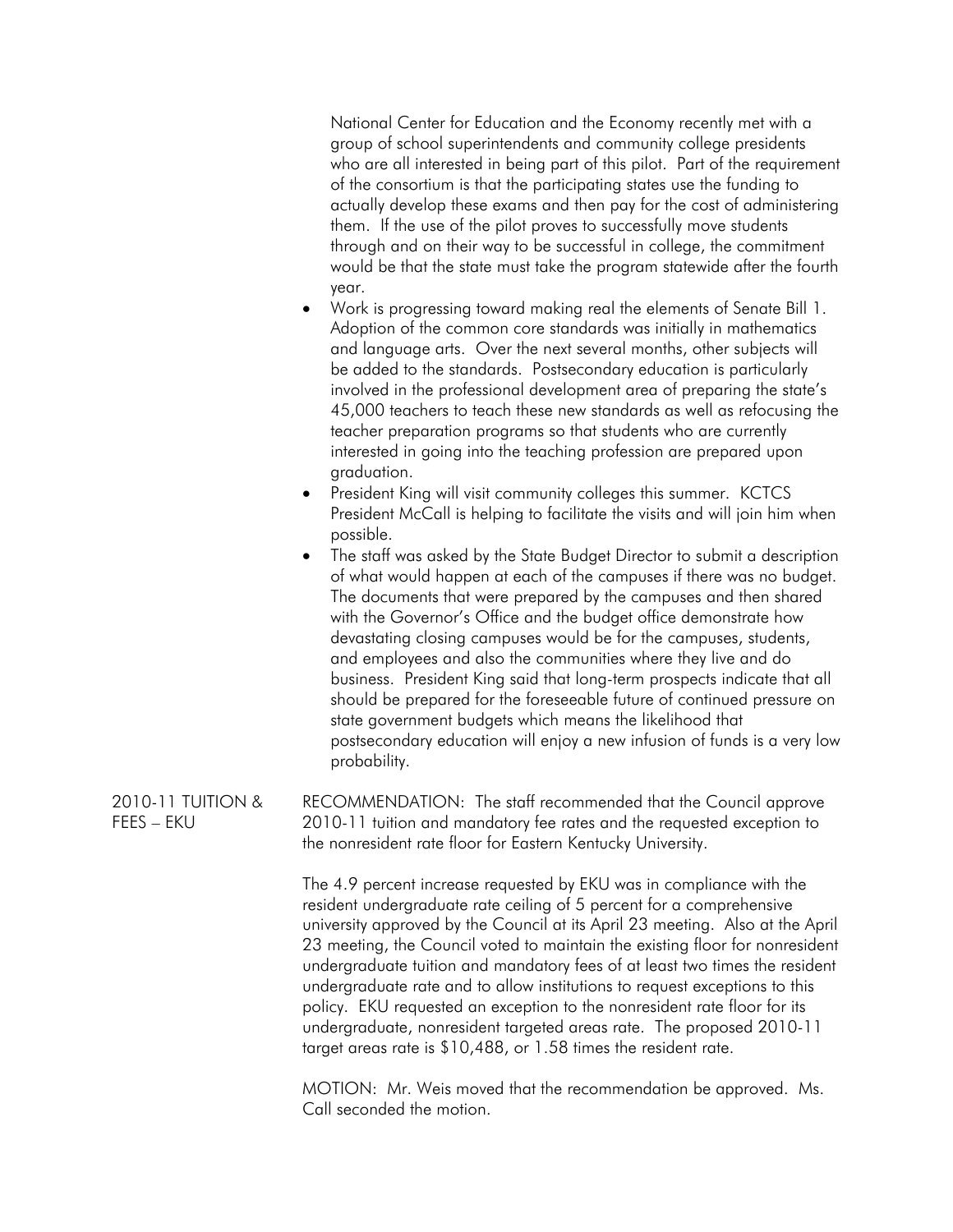National Center for Education and the Economy recently met with a group of school superintendents and community college presidents who are all interested in being part of this pilot. Part of the requirement of the consortium is that the participating states use the funding to actually develop these exams and then pay for the cost of administering them. If the use of the pilot proves to successfully move students through and on their way to be successful in college, the commitment would be that the state must take the program statewide after the fourth year.

- Work is progressing toward making real the elements of Senate Bill 1. Adoption of the common core standards was initially in mathematics and language arts. Over the next several months, other subjects will be added to the standards. Postsecondary education is particularly involved in the professional development area of preparing the state's 45,000 teachers to teach these new standards as well as refocusing the teacher preparation programs so that students who are currently interested in going into the teaching profession are prepared upon graduation.
- President King will visit community colleges this summer. KCTCS President McCall is helping to facilitate the visits and will join him when possible.
- The staff was asked by the State Budget Director to submit a description of what would happen at each of the campuses if there was no budget. The documents that were prepared by the campuses and then shared with the Governor's Office and the budget office demonstrate how devastating closing campuses would be for the campuses, students, and employees and also the communities where they live and do business. President King said that long-term prospects indicate that all should be prepared for the foreseeable future of continued pressure on state government budgets which means the likelihood that postsecondary education will enjoy a new infusion of funds is a very low probability.

2010-11 TUITION & FEES – EKU RECOMMENDATION: The staff recommended that the Council approve 2010-11 tuition and mandatory fee rates and the requested exception to the nonresident rate floor for Eastern Kentucky University.

> The 4.9 percent increase requested by EKU was in compliance with the resident undergraduate rate ceiling of 5 percent for a comprehensive university approved by the Council at its April 23 meeting. Also at the April 23 meeting, the Council voted to maintain the existing floor for nonresident undergraduate tuition and mandatory fees of at least two times the resident undergraduate rate and to allow institutions to request exceptions to this policy. EKU requested an exception to the nonresident rate floor for its undergraduate, nonresident targeted areas rate. The proposed 2010-11 target areas rate is \$10,488, or 1.58 times the resident rate.

 MOTION: Mr. Weis moved that the recommendation be approved. Ms. Call seconded the motion.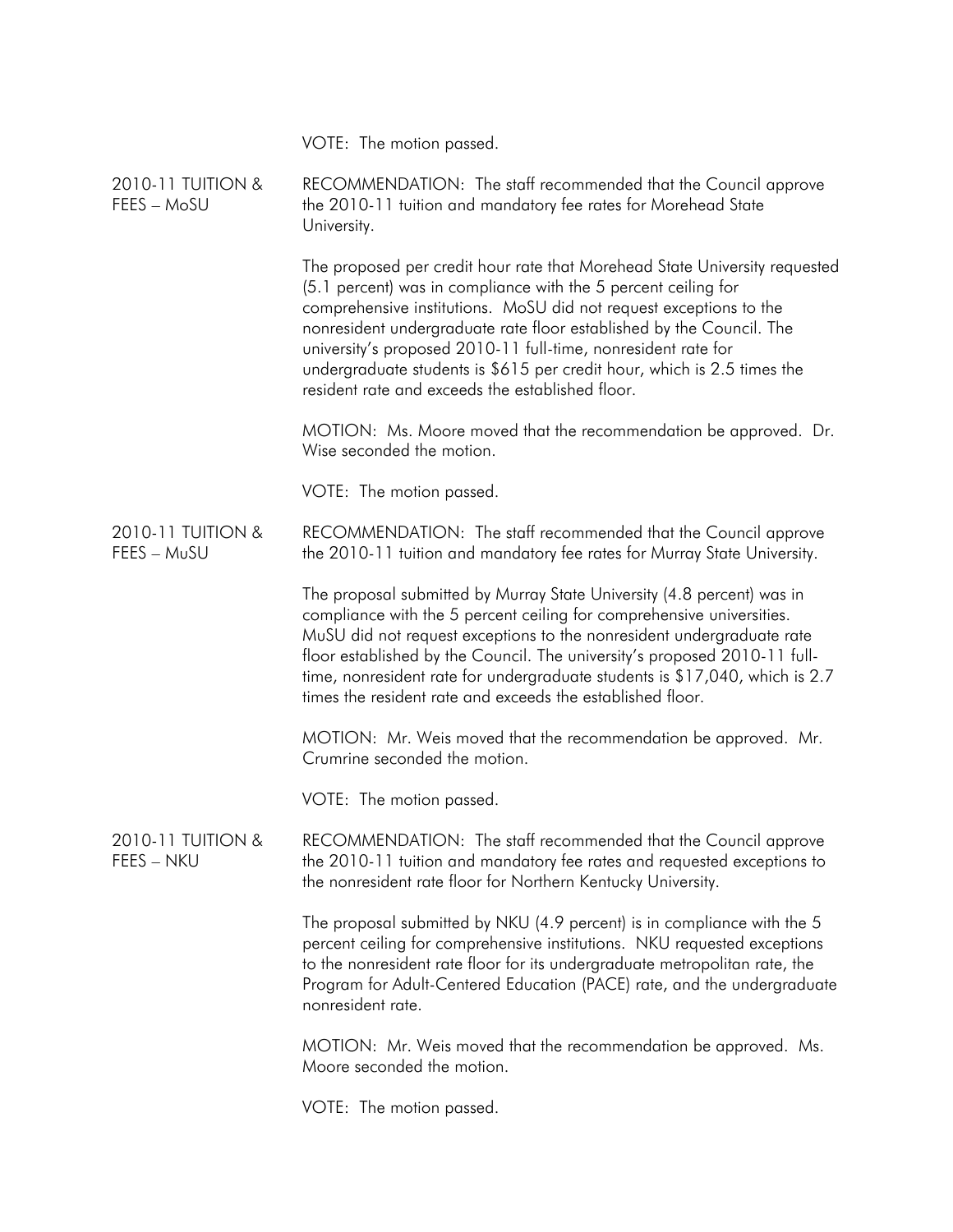|                                  | VOTE: The motion passed.                                                                                                                                                                                                                                                                                                                                                                                                                                                                   |
|----------------------------------|--------------------------------------------------------------------------------------------------------------------------------------------------------------------------------------------------------------------------------------------------------------------------------------------------------------------------------------------------------------------------------------------------------------------------------------------------------------------------------------------|
| 2010-11 TUITION &<br>FEES - MoSU | RECOMMENDATION: The staff recommended that the Council approve<br>the 2010-11 tuition and mandatory fee rates for Morehead State<br>University.                                                                                                                                                                                                                                                                                                                                            |
|                                  | The proposed per credit hour rate that Morehead State University requested<br>(5.1 percent) was in compliance with the 5 percent ceiling for<br>comprehensive institutions. MoSU did not request exceptions to the<br>nonresident undergraduate rate floor established by the Council. The<br>university's proposed 2010-11 full-time, nonresident rate for<br>undergraduate students is \$615 per credit hour, which is 2.5 times the<br>resident rate and exceeds the established floor. |
|                                  | MOTION: Ms. Moore moved that the recommendation be approved. Dr.<br>Wise seconded the motion.                                                                                                                                                                                                                                                                                                                                                                                              |
|                                  | VOTE: The motion passed.                                                                                                                                                                                                                                                                                                                                                                                                                                                                   |
| 2010-11 TUITION &<br>FEES - MuSU | RECOMMENDATION: The staff recommended that the Council approve<br>the 2010-11 tuition and mandatory fee rates for Murray State University.                                                                                                                                                                                                                                                                                                                                                 |
|                                  | The proposal submitted by Murray State University (4.8 percent) was in<br>compliance with the 5 percent ceiling for comprehensive universities.<br>MuSU did not request exceptions to the nonresident undergraduate rate<br>floor established by the Council. The university's proposed 2010-11 full-<br>time, nonresident rate for undergraduate students is \$17,040, which is 2.7<br>times the resident rate and exceeds the established floor.                                         |
|                                  | MOTION: Mr. Weis moved that the recommendation be approved. Mr.<br>Crumrine seconded the motion.                                                                                                                                                                                                                                                                                                                                                                                           |
|                                  | VOTE: The motion passed.                                                                                                                                                                                                                                                                                                                                                                                                                                                                   |
| 2010-11 TUITION &<br>FEES - NKU  | RECOMMENDATION: The staff recommended that the Council approve<br>the 2010-11 tuition and mandatory fee rates and requested exceptions to<br>the nonresident rate floor for Northern Kentucky University.                                                                                                                                                                                                                                                                                  |
|                                  | The proposal submitted by NKU (4.9 percent) is in compliance with the 5<br>percent ceiling for comprehensive institutions. NKU requested exceptions<br>to the nonresident rate floor for its undergraduate metropolitan rate, the<br>Program for Adult-Centered Education (PACE) rate, and the undergraduate<br>nonresident rate.                                                                                                                                                          |
|                                  | MOTION: Mr. Weis moved that the recommendation be approved. Ms.<br>Moore seconded the motion.                                                                                                                                                                                                                                                                                                                                                                                              |
|                                  | VOTE: The motion passed.                                                                                                                                                                                                                                                                                                                                                                                                                                                                   |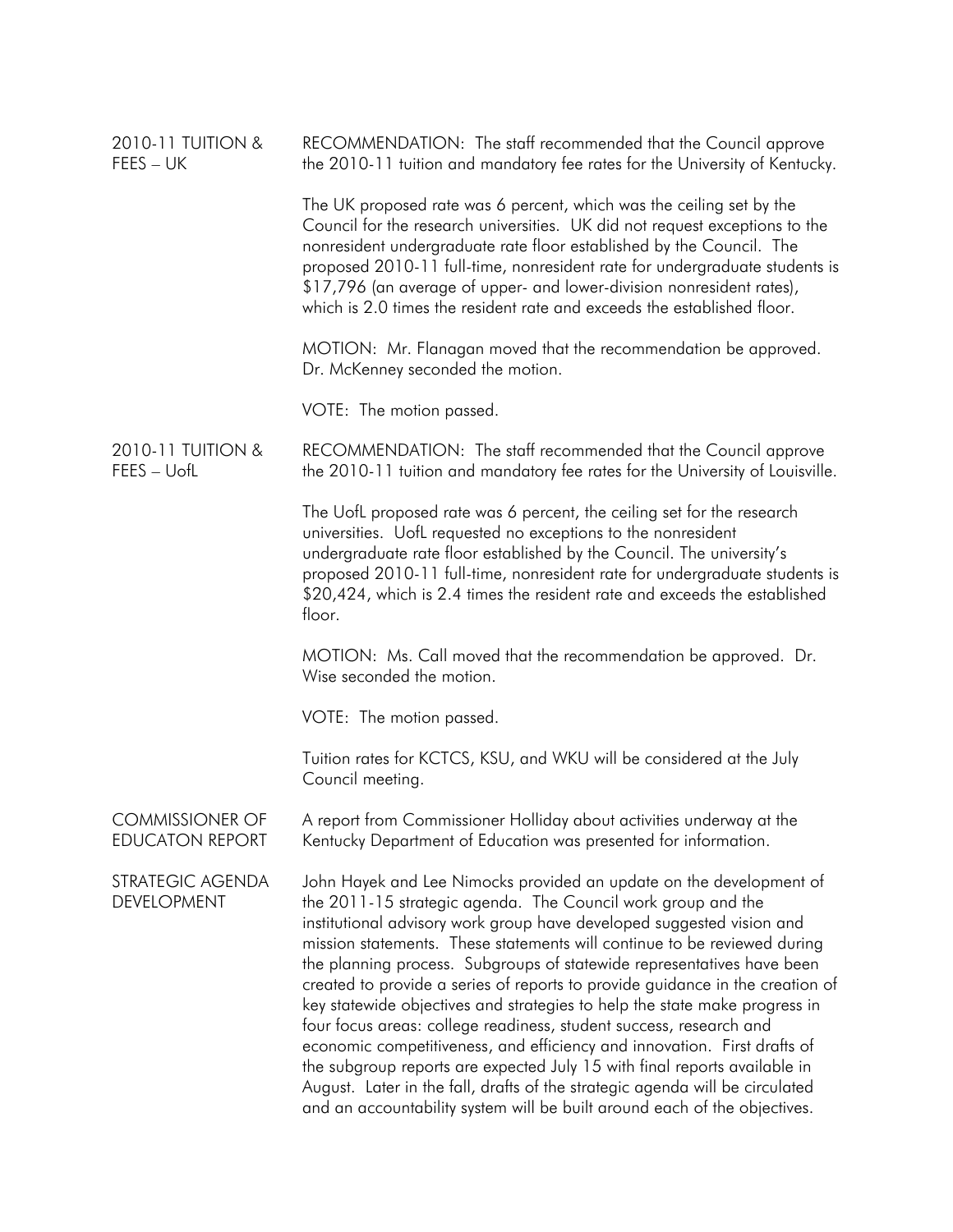| 2010-11 TUITION &<br>FEES – UK                   | RECOMMENDATION: The staff recommended that the Council approve<br>the 2010-11 tuition and mandatory fee rates for the University of Kentucky.                                                                                                                                                                                                                                                                                                                                                                                                                                                                                                                                                                                                                                                                                                                                                                                 |
|--------------------------------------------------|-------------------------------------------------------------------------------------------------------------------------------------------------------------------------------------------------------------------------------------------------------------------------------------------------------------------------------------------------------------------------------------------------------------------------------------------------------------------------------------------------------------------------------------------------------------------------------------------------------------------------------------------------------------------------------------------------------------------------------------------------------------------------------------------------------------------------------------------------------------------------------------------------------------------------------|
|                                                  | The UK proposed rate was 6 percent, which was the ceiling set by the<br>Council for the research universities. UK did not request exceptions to the<br>nonresident undergraduate rate floor established by the Council. The<br>proposed 2010-11 full-time, nonresident rate for undergraduate students is<br>\$17,796 (an average of upper- and lower-division nonresident rates),<br>which is 2.0 times the resident rate and exceeds the established floor.                                                                                                                                                                                                                                                                                                                                                                                                                                                                 |
|                                                  | MOTION: Mr. Flanagan moved that the recommendation be approved.<br>Dr. McKenney seconded the motion.                                                                                                                                                                                                                                                                                                                                                                                                                                                                                                                                                                                                                                                                                                                                                                                                                          |
|                                                  | VOTE: The motion passed.                                                                                                                                                                                                                                                                                                                                                                                                                                                                                                                                                                                                                                                                                                                                                                                                                                                                                                      |
| 2010-11 TUITION &<br>FEES - UofL                 | RECOMMENDATION: The staff recommended that the Council approve<br>the 2010-11 tuition and mandatory fee rates for the University of Louisville.                                                                                                                                                                                                                                                                                                                                                                                                                                                                                                                                                                                                                                                                                                                                                                               |
|                                                  | The UofL proposed rate was 6 percent, the ceiling set for the research<br>universities. UofL requested no exceptions to the nonresident<br>undergraduate rate floor established by the Council. The university's<br>proposed 2010-11 full-time, nonresident rate for undergraduate students is<br>\$20,424, which is 2.4 times the resident rate and exceeds the established<br>floor.                                                                                                                                                                                                                                                                                                                                                                                                                                                                                                                                        |
|                                                  | MOTION: Ms. Call moved that the recommendation be approved. Dr.<br>Wise seconded the motion.                                                                                                                                                                                                                                                                                                                                                                                                                                                                                                                                                                                                                                                                                                                                                                                                                                  |
|                                                  | VOTE: The motion passed.                                                                                                                                                                                                                                                                                                                                                                                                                                                                                                                                                                                                                                                                                                                                                                                                                                                                                                      |
|                                                  | Tuition rates for KCTCS, KSU, and WKU will be considered at the July<br>Council meeting.                                                                                                                                                                                                                                                                                                                                                                                                                                                                                                                                                                                                                                                                                                                                                                                                                                      |
| <b>COMMISSIONER OF</b><br><b>EDUCATON REPORT</b> | A report from Commissioner Holliday about activities underway at the<br>Kentucky Department of Education was presented for information.                                                                                                                                                                                                                                                                                                                                                                                                                                                                                                                                                                                                                                                                                                                                                                                       |
| STRATEGIC AGENDA<br><b>DEVELOPMENT</b>           | John Hayek and Lee Nimocks provided an update on the development of<br>the 2011-15 strategic agenda. The Council work group and the<br>institutional advisory work group have developed suggested vision and<br>mission statements. These statements will continue to be reviewed during<br>the planning process. Subgroups of statewide representatives have been<br>created to provide a series of reports to provide guidance in the creation of<br>key statewide objectives and strategies to help the state make progress in<br>four focus areas: college readiness, student success, research and<br>economic competitiveness, and efficiency and innovation. First drafts of<br>the subgroup reports are expected July 15 with final reports available in<br>August. Later in the fall, drafts of the strategic agenda will be circulated<br>and an accountability system will be built around each of the objectives. |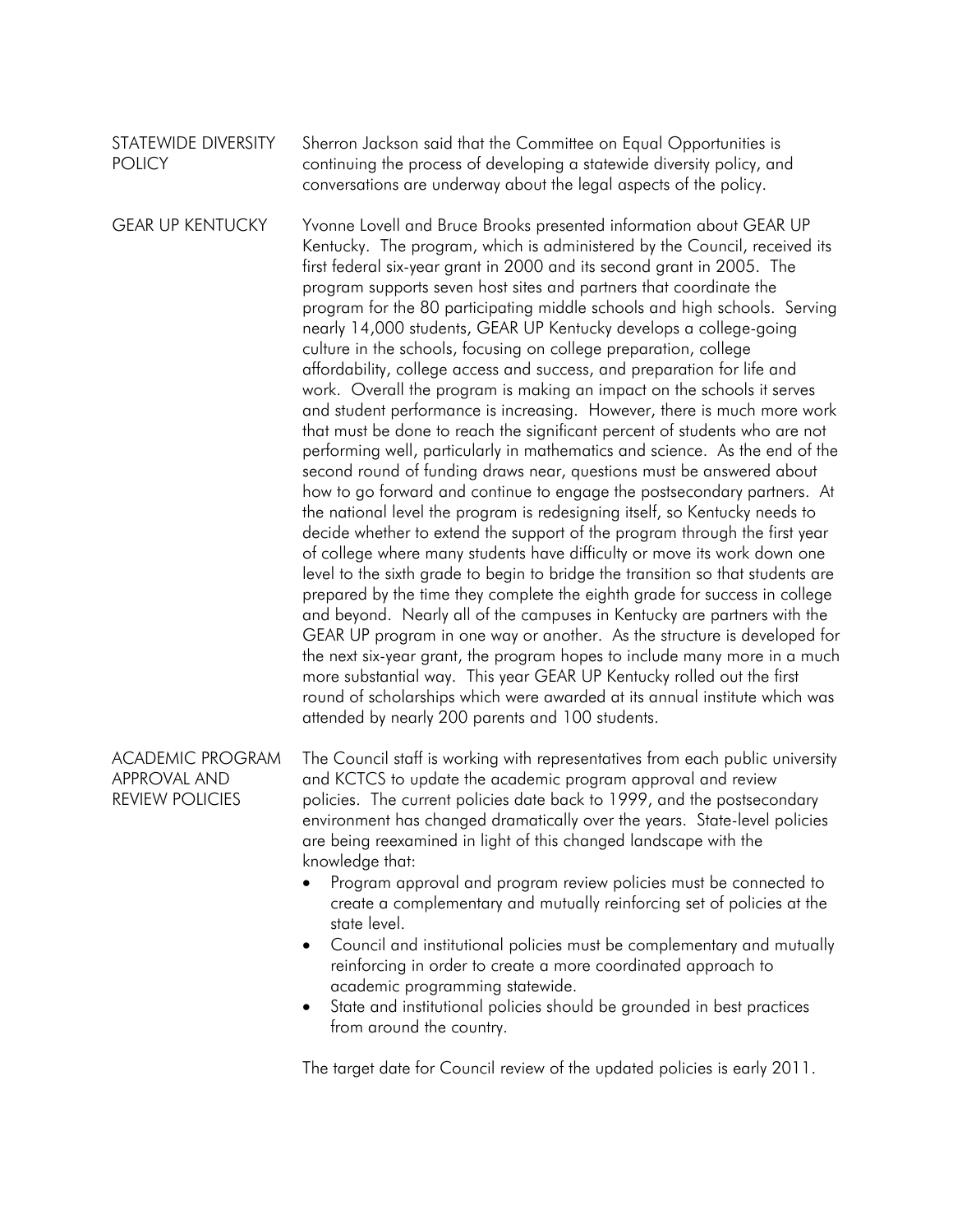## STATEWIDE DIVERSITY **POLICY** Sherron Jackson said that the Committee on Equal Opportunities is continuing the process of developing a statewide diversity policy, and conversations are underway about the legal aspects of the policy.

GEAR UP KENTUCKY Yvonne Lovell and Bruce Brooks presented information about GEAR UP Kentucky. The program, which is administered by the Council, received its first federal six-year grant in 2000 and its second grant in 2005. The program supports seven host sites and partners that coordinate the program for the 80 participating middle schools and high schools. Serving nearly 14,000 students, GEAR UP Kentucky develops a college-going culture in the schools, focusing on college preparation, college affordability, college access and success, and preparation for life and work. Overall the program is making an impact on the schools it serves and student performance is increasing. However, there is much more work that must be done to reach the significant percent of students who are not performing well, particularly in mathematics and science. As the end of the second round of funding draws near, questions must be answered about how to go forward and continue to engage the postsecondary partners. At the national level the program is redesigning itself, so Kentucky needs to decide whether to extend the support of the program through the first year of college where many students have difficulty or move its work down one level to the sixth grade to begin to bridge the transition so that students are prepared by the time they complete the eighth grade for success in college and beyond. Nearly all of the campuses in Kentucky are partners with the GEAR UP program in one way or another. As the structure is developed for the next six-year grant, the program hopes to include many more in a much more substantial way. This year GEAR UP Kentucky rolled out the first round of scholarships which were awarded at its annual institute which was attended by nearly 200 parents and 100 students.

ACADEMIC PROGRAM APPROVAL AND REVIEW POLICIES The Council staff is working with representatives from each public university and KCTCS to update the academic program approval and review policies. The current policies date back to 1999, and the postsecondary environment has changed dramatically over the years. State-level policies are being reexamined in light of this changed landscape with the knowledge that:

- Program approval and program review policies must be connected to create a complementary and mutually reinforcing set of policies at the state level.
- Council and institutional policies must be complementary and mutually reinforcing in order to create a more coordinated approach to academic programming statewide.
- State and institutional policies should be grounded in best practices from around the country.

The target date for Council review of the updated policies is early 2011.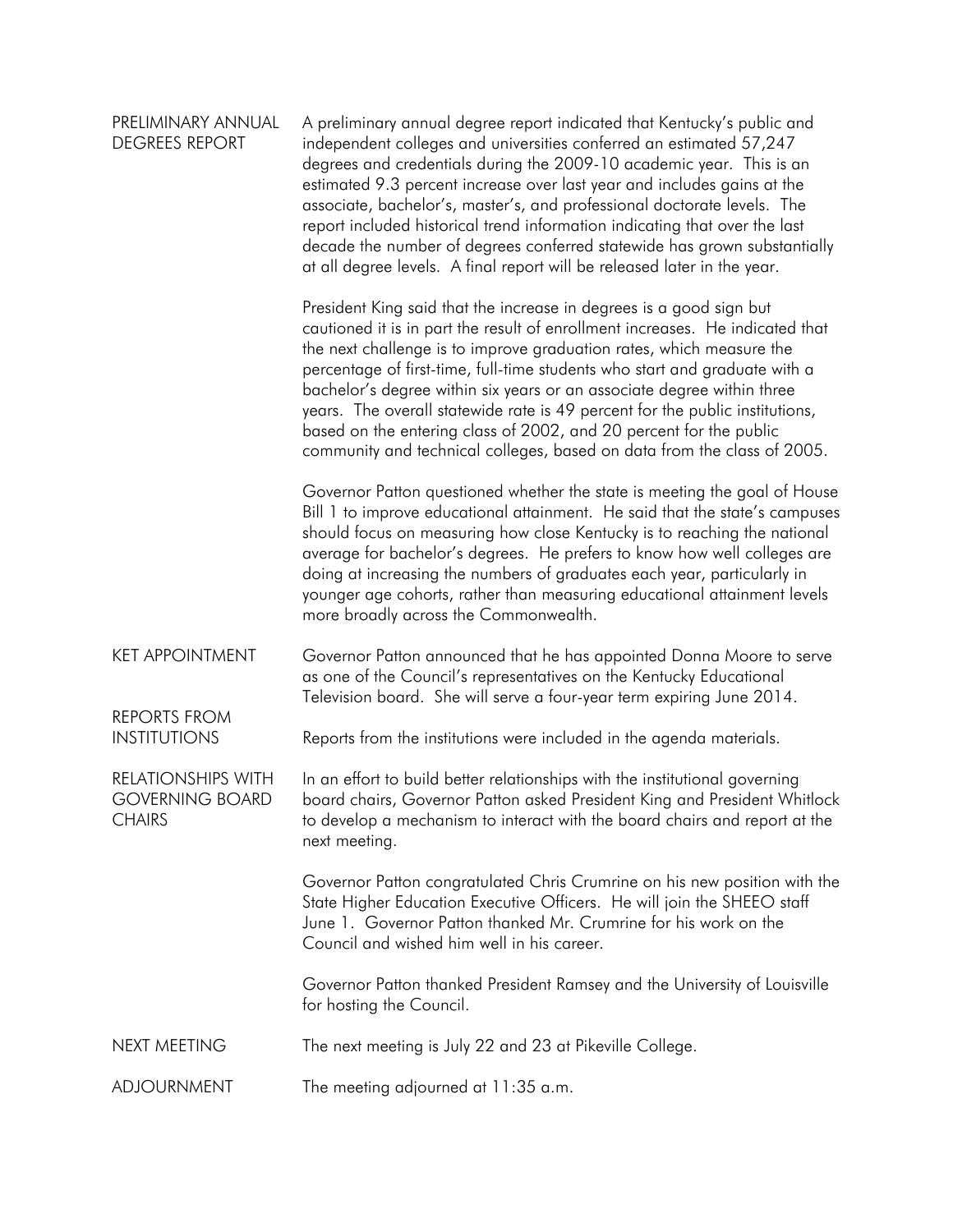| PRELIMINARY ANNUAL<br><b>DEGREES REPORT</b>                          | A preliminary annual degree report indicated that Kentucky's public and<br>independent colleges and universities conferred an estimated 57,247<br>degrees and credentials during the 2009-10 academic year. This is an<br>estimated 9.3 percent increase over last year and includes gains at the<br>associate, bachelor's, master's, and professional doctorate levels. The<br>report included historical trend information indicating that over the last<br>decade the number of degrees conferred statewide has grown substantially<br>at all degree levels. A final report will be released later in the year.    |
|----------------------------------------------------------------------|-----------------------------------------------------------------------------------------------------------------------------------------------------------------------------------------------------------------------------------------------------------------------------------------------------------------------------------------------------------------------------------------------------------------------------------------------------------------------------------------------------------------------------------------------------------------------------------------------------------------------|
|                                                                      | President King said that the increase in degrees is a good sign but<br>cautioned it is in part the result of enrollment increases. He indicated that<br>the next challenge is to improve graduation rates, which measure the<br>percentage of first-time, full-time students who start and graduate with a<br>bachelor's degree within six years or an associate degree within three<br>years. The overall statewide rate is 49 percent for the public institutions,<br>based on the entering class of 2002, and 20 percent for the public<br>community and technical colleges, based on data from the class of 2005. |
|                                                                      | Governor Patton questioned whether the state is meeting the goal of House<br>Bill 1 to improve educational attainment. He said that the state's campuses<br>should focus on measuring how close Kentucky is to reaching the national<br>average for bachelor's degrees. He prefers to know how well colleges are<br>doing at increasing the numbers of graduates each year, particularly in<br>younger age cohorts, rather than measuring educational attainment levels<br>more broadly across the Commonwealth.                                                                                                      |
| <b>KET APPOINTMENT</b><br><b>REPORTS FROM</b>                        | Governor Patton announced that he has appointed Donna Moore to serve<br>as one of the Council's representatives on the Kentucky Educational<br>Television board. She will serve a four-year term expiring June 2014.                                                                                                                                                                                                                                                                                                                                                                                                  |
| <b>INSTITUTIONS</b>                                                  | Reports from the institutions were included in the agenda materials.                                                                                                                                                                                                                                                                                                                                                                                                                                                                                                                                                  |
| <b>RELATIONSHIPS WITH</b><br><b>GOVERNING BOARD</b><br><b>CHAIRS</b> | In an effort to build better relationships with the institutional governing<br>board chairs, Governor Patton asked President King and President Whitlock<br>to develop a mechanism to interact with the board chairs and report at the<br>next meeting.                                                                                                                                                                                                                                                                                                                                                               |
|                                                                      | Governor Patton congratulated Chris Crumrine on his new position with the<br>State Higher Education Executive Officers. He will join the SHEEO staff<br>June 1. Governor Patton thanked Mr. Crumrine for his work on the<br>Council and wished him well in his career.                                                                                                                                                                                                                                                                                                                                                |
|                                                                      | Governor Patton thanked President Ramsey and the University of Louisville<br>for hosting the Council.                                                                                                                                                                                                                                                                                                                                                                                                                                                                                                                 |
| <b>NEXT MEETING</b>                                                  | The next meeting is July 22 and 23 at Pikeville College.                                                                                                                                                                                                                                                                                                                                                                                                                                                                                                                                                              |
| ADJOURNMENT                                                          | The meeting adjourned at 11:35 a.m.                                                                                                                                                                                                                                                                                                                                                                                                                                                                                                                                                                                   |